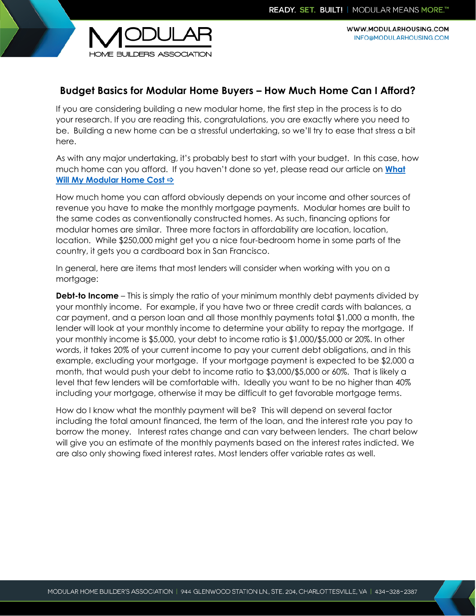

WWW.MODULARHOUSING.COM INFO@MODULARHOUSING.COM

## **Budget Basics for Modular Home Buyers – How Much Home Can I Afford?**

If you are considering building a new modular home, the first step in the process is to do your research. If you are reading this, congratulations, you are exactly where you need to be. Building a new home can be a stressful undertaking, so we'll try to ease that stress a bit here.

As with any major undertaking, it's probably best to start with your budget. In this case, how much home can you afford. If you haven't done so yet, please read our article on **[What](http://www.modularhousing.com/downloads/Articles/What-Will-My-Modular-Home-Cost.pdf)  [Will My Modular Home Cost](http://www.modularhousing.com/downloads/Articles/What-Will-My-Modular-Home-Cost.pdf)**

How much home you can afford obviously depends on your income and other sources of revenue you have to make the monthly mortgage payments. Modular homes are built to the same codes as conventionally constructed homes. As such, financing options for modular homes are similar. Three more factors in affordability are location, location, location. While \$250,000 might get you a nice four-bedroom home in some parts of the country, it gets you a cardboard box in San Francisco.

In general, here are items that most lenders will consider when working with you on a mortgage:

**Debt-to Income** – This is simply the ratio of your minimum monthly debt payments divided by your monthly income. For example, if you have two or three credit cards with balances, a car payment, and a person loan and all those monthly payments total \$1,000 a month, the lender will look at your monthly income to determine your ability to repay the mortgage. If your monthly income is \$5,000, your debt to income ratio is \$1,000/\$5,000 or 20%. In other words, it takes 20% of your current income to pay your current debt obligations, and in this example, excluding your mortgage. If your mortgage payment is expected to be \$2,000 a month, that would push your debt to income ratio to \$3,000/\$5,000 or 60%. That is likely a level that few lenders will be comfortable with. Ideally you want to be no higher than 40% including your mortgage, otherwise it may be difficult to get favorable mortgage terms.

How do I know what the monthly payment will be? This will depend on several factor including the total amount financed, the term of the loan, and the interest rate you pay to borrow the money. Interest rates change and can vary between lenders. The chart below will give you an estimate of the monthly payments based on the interest rates indicted. We are also only showing fixed interest rates. Most lenders offer variable rates as well.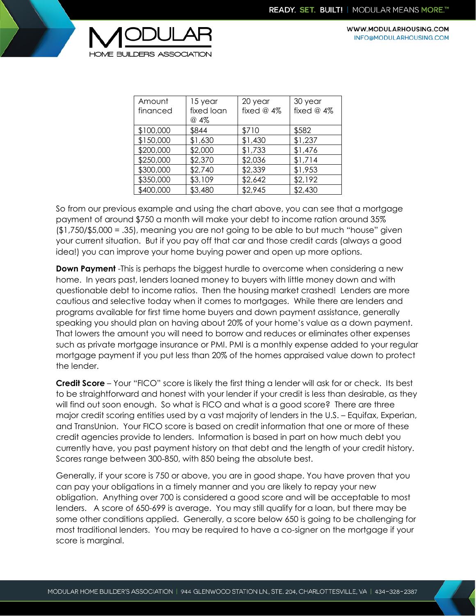

WWW.MODULARHOUSING.COM INFO@MODULARHOUSING.COM

| Amount<br>financed | 15 year<br>fixed loan<br>@ 4% | 20 year<br>fixed $@$ 4% | 30 year<br>fixed $@$ 4% |
|--------------------|-------------------------------|-------------------------|-------------------------|
| \$100,000          | \$844                         | \$710                   | \$582                   |
|                    |                               |                         |                         |
| \$150,000          | \$1,630                       | \$1,430                 | \$1,237                 |
| \$200,000          | \$2,000                       | \$1,733                 | \$1,476                 |
| \$250,000          | \$2,370                       | \$2,036                 | \$1,714                 |
| \$300,000          | \$2,740                       | \$2,339                 | \$1,953                 |
| \$350,000          | \$3,109                       | \$2,642                 | \$2,192                 |
| \$400,000          | \$3,480                       | \$2,945                 | \$2,430                 |

So from our previous example and using the chart above, you can see that a mortgage payment of around \$750 a month will make your debt to income ration around 35% (\$1,750/\$5,000 = .35), meaning you are not going to be able to but much "house" given your current situation. But if you pay off that car and those credit cards (always a good idea!) you can improve your home buying power and open up more options.

**Down Payment** -This is perhaps the biggest hurdle to overcome when considering a new home. In years past, lenders loaned money to buyers with little money down and with questionable debt to income ratios. Then the housing market crashed! Lenders are more cautious and selective today when it comes to mortgages. While there are lenders and programs available for first time home buyers and down payment assistance, generally speaking you should plan on having about 20% of your home's value as a down payment. That lowers the amount you will need to borrow and reduces or eliminates other expenses such as private mortgage insurance or PMI. PMI is a monthly expense added to your regular mortgage payment if you put less than 20% of the homes appraised value down to protect the lender.

**Credit Score** – Your "FICO" score is likely the first thing a lender will ask for or check. Its best to be straightforward and honest with your lender if your credit is less than desirable, as they will find out soon enough. So what is FICO and what is a good score? There are three major credit scoring entities used by a vast majority of lenders in the U.S. – Equifax, Experian, and TransUnion. Your FICO score is based on credit information that one or more of these credit agencies provide to lenders. Information is based in part on how much debt you currently have, you past payment history on that debt and the length of your credit history. Scores range between 300-850, with 850 being the absolute best.

Generally, if your score is 750 or above, you are in good shape. You have proven that you can pay your obligations in a timely manner and you are likely to repay your new obligation. Anything over 700 is considered a good score and will be acceptable to most lenders. A score of 650-699 is average. You may still qualify for a loan, but there may be some other conditions applied. Generally, a score below 650 is going to be challenging for most traditional lenders. You may be required to have a co-signer on the mortgage if your score is marginal.